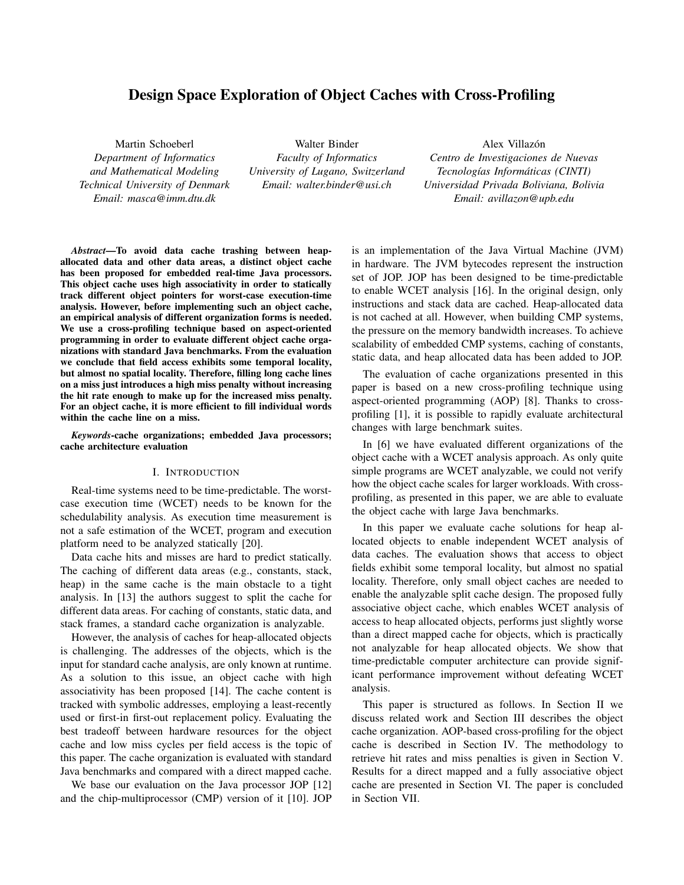# Design Space Exploration of Object Caches with Cross-Profiling

Martin Schoeberl *Department of Informatics and Mathematical Modeling Technical University of Denmark Email: masca@imm.dtu.dk*

Walter Binder *Faculty of Informatics University of Lugano, Switzerland Email: walter.binder@usi.ch*

Alex Villazón *Centro de Investigaciones de Nuevas Tecnolog´ıas Informaticas (CINTI) ´ Universidad Privada Boliviana, Bolivia Email: avillazon@upb.edu*

*Abstract*—To avoid data cache trashing between heapallocated data and other data areas, a distinct object cache has been proposed for embedded real-time Java processors. This object cache uses high associativity in order to statically track different object pointers for worst-case execution-time analysis. However, before implementing such an object cache, an empirical analysis of different organization forms is needed. We use a cross-profiling technique based on aspect-oriented programming in order to evaluate different object cache organizations with standard Java benchmarks. From the evaluation we conclude that field access exhibits some temporal locality, but almost no spatial locality. Therefore, filling long cache lines on a miss just introduces a high miss penalty without increasing the hit rate enough to make up for the increased miss penalty. For an object cache, it is more efficient to fill individual words within the cache line on a miss.

*Keywords*-cache organizations; embedded Java processors; cache architecture evaluation

### I. INTRODUCTION

Real-time systems need to be time-predictable. The worstcase execution time (WCET) needs to be known for the schedulability analysis. As execution time measurement is not a safe estimation of the WCET, program and execution platform need to be analyzed statically [20].

Data cache hits and misses are hard to predict statically. The caching of different data areas (e.g., constants, stack, heap) in the same cache is the main obstacle to a tight analysis. In [13] the authors suggest to split the cache for different data areas. For caching of constants, static data, and stack frames, a standard cache organization is analyzable.

However, the analysis of caches for heap-allocated objects is challenging. The addresses of the objects, which is the input for standard cache analysis, are only known at runtime. As a solution to this issue, an object cache with high associativity has been proposed [14]. The cache content is tracked with symbolic addresses, employing a least-recently used or first-in first-out replacement policy. Evaluating the best tradeoff between hardware resources for the object cache and low miss cycles per field access is the topic of this paper. The cache organization is evaluated with standard Java benchmarks and compared with a direct mapped cache.

We base our evaluation on the Java processor JOP [12] and the chip-multiprocessor (CMP) version of it [10]. JOP is an implementation of the Java Virtual Machine (JVM) in hardware. The JVM bytecodes represent the instruction set of JOP. JOP has been designed to be time-predictable to enable WCET analysis [16]. In the original design, only instructions and stack data are cached. Heap-allocated data is not cached at all. However, when building CMP systems, the pressure on the memory bandwidth increases. To achieve scalability of embedded CMP systems, caching of constants, static data, and heap allocated data has been added to JOP.

The evaluation of cache organizations presented in this paper is based on a new cross-profiling technique using aspect-oriented programming (AOP) [8]. Thanks to crossprofiling [1], it is possible to rapidly evaluate architectural changes with large benchmark suites.

In [6] we have evaluated different organizations of the object cache with a WCET analysis approach. As only quite simple programs are WCET analyzable, we could not verify how the object cache scales for larger workloads. With crossprofiling, as presented in this paper, we are able to evaluate the object cache with large Java benchmarks.

In this paper we evaluate cache solutions for heap allocated objects to enable independent WCET analysis of data caches. The evaluation shows that access to object fields exhibit some temporal locality, but almost no spatial locality. Therefore, only small object caches are needed to enable the analyzable split cache design. The proposed fully associative object cache, which enables WCET analysis of access to heap allocated objects, performs just slightly worse than a direct mapped cache for objects, which is practically not analyzable for heap allocated objects. We show that time-predictable computer architecture can provide significant performance improvement without defeating WCET analysis.

This paper is structured as follows. In Section II we discuss related work and Section III describes the object cache organization. AOP-based cross-profiling for the object cache is described in Section IV. The methodology to retrieve hit rates and miss penalties is given in Section V. Results for a direct mapped and a fully associative object cache are presented in Section VI. The paper is concluded in Section VII.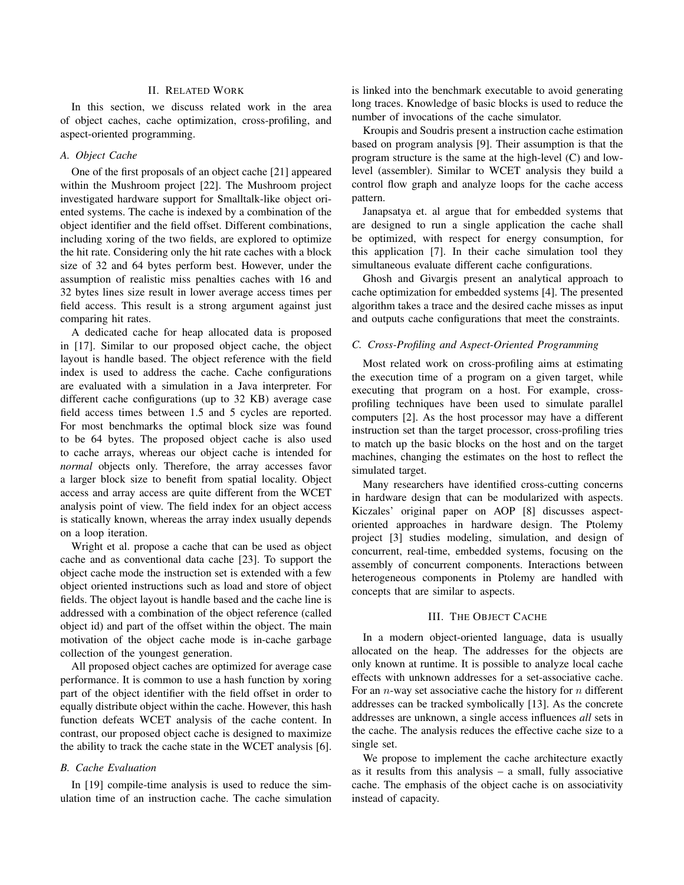# II. RELATED WORK

In this section, we discuss related work in the area of object caches, cache optimization, cross-profiling, and aspect-oriented programming.

# *A. Object Cache*

One of the first proposals of an object cache [21] appeared within the Mushroom project [22]. The Mushroom project investigated hardware support for Smalltalk-like object oriented systems. The cache is indexed by a combination of the object identifier and the field offset. Different combinations, including xoring of the two fields, are explored to optimize the hit rate. Considering only the hit rate caches with a block size of 32 and 64 bytes perform best. However, under the assumption of realistic miss penalties caches with 16 and 32 bytes lines size result in lower average access times per field access. This result is a strong argument against just comparing hit rates.

A dedicated cache for heap allocated data is proposed in [17]. Similar to our proposed object cache, the object layout is handle based. The object reference with the field index is used to address the cache. Cache configurations are evaluated with a simulation in a Java interpreter. For different cache configurations (up to 32 KB) average case field access times between 1.5 and 5 cycles are reported. For most benchmarks the optimal block size was found to be 64 bytes. The proposed object cache is also used to cache arrays, whereas our object cache is intended for *normal* objects only. Therefore, the array accesses favor a larger block size to benefit from spatial locality. Object access and array access are quite different from the WCET analysis point of view. The field index for an object access is statically known, whereas the array index usually depends on a loop iteration.

Wright et al. propose a cache that can be used as object cache and as conventional data cache [23]. To support the object cache mode the instruction set is extended with a few object oriented instructions such as load and store of object fields. The object layout is handle based and the cache line is addressed with a combination of the object reference (called object id) and part of the offset within the object. The main motivation of the object cache mode is in-cache garbage collection of the youngest generation.

All proposed object caches are optimized for average case performance. It is common to use a hash function by xoring part of the object identifier with the field offset in order to equally distribute object within the cache. However, this hash function defeats WCET analysis of the cache content. In contrast, our proposed object cache is designed to maximize the ability to track the cache state in the WCET analysis [6].

# *B. Cache Evaluation*

In [19] compile-time analysis is used to reduce the simulation time of an instruction cache. The cache simulation is linked into the benchmark executable to avoid generating long traces. Knowledge of basic blocks is used to reduce the number of invocations of the cache simulator.

Kroupis and Soudris present a instruction cache estimation based on program analysis [9]. Their assumption is that the program structure is the same at the high-level (C) and lowlevel (assembler). Similar to WCET analysis they build a control flow graph and analyze loops for the cache access pattern.

Janapsatya et. al argue that for embedded systems that are designed to run a single application the cache shall be optimized, with respect for energy consumption, for this application [7]. In their cache simulation tool they simultaneous evaluate different cache configurations.

Ghosh and Givargis present an analytical approach to cache optimization for embedded systems [4]. The presented algorithm takes a trace and the desired cache misses as input and outputs cache configurations that meet the constraints.

# *C. Cross-Profiling and Aspect-Oriented Programming*

Most related work on cross-profiling aims at estimating the execution time of a program on a given target, while executing that program on a host. For example, crossprofiling techniques have been used to simulate parallel computers [2]. As the host processor may have a different instruction set than the target processor, cross-profiling tries to match up the basic blocks on the host and on the target machines, changing the estimates on the host to reflect the simulated target.

Many researchers have identified cross-cutting concerns in hardware design that can be modularized with aspects. Kiczales' original paper on AOP [8] discusses aspectoriented approaches in hardware design. The Ptolemy project [3] studies modeling, simulation, and design of concurrent, real-time, embedded systems, focusing on the assembly of concurrent components. Interactions between heterogeneous components in Ptolemy are handled with concepts that are similar to aspects.

### III. THE OBJECT CACHE

In a modern object-oriented language, data is usually allocated on the heap. The addresses for the objects are only known at runtime. It is possible to analyze local cache effects with unknown addresses for a set-associative cache. For an  $n$ -way set associative cache the history for  $n$  different addresses can be tracked symbolically [13]. As the concrete addresses are unknown, a single access influences *all* sets in the cache. The analysis reduces the effective cache size to a single set.

We propose to implement the cache architecture exactly as it results from this analysis – a small, fully associative cache. The emphasis of the object cache is on associativity instead of capacity.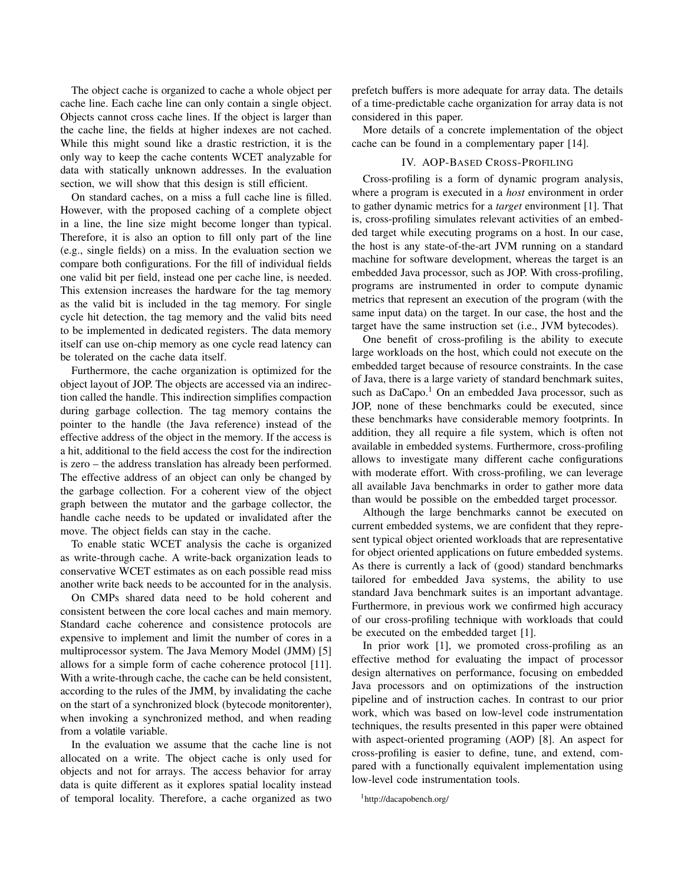The object cache is organized to cache a whole object per cache line. Each cache line can only contain a single object. Objects cannot cross cache lines. If the object is larger than the cache line, the fields at higher indexes are not cached. While this might sound like a drastic restriction, it is the only way to keep the cache contents WCET analyzable for data with statically unknown addresses. In the evaluation section, we will show that this design is still efficient.

On standard caches, on a miss a full cache line is filled. However, with the proposed caching of a complete object in a line, the line size might become longer than typical. Therefore, it is also an option to fill only part of the line (e.g., single fields) on a miss. In the evaluation section we compare both configurations. For the fill of individual fields one valid bit per field, instead one per cache line, is needed. This extension increases the hardware for the tag memory as the valid bit is included in the tag memory. For single cycle hit detection, the tag memory and the valid bits need to be implemented in dedicated registers. The data memory itself can use on-chip memory as one cycle read latency can be tolerated on the cache data itself.

Furthermore, the cache organization is optimized for the object layout of JOP. The objects are accessed via an indirection called the handle. This indirection simplifies compaction during garbage collection. The tag memory contains the pointer to the handle (the Java reference) instead of the effective address of the object in the memory. If the access is a hit, additional to the field access the cost for the indirection is zero – the address translation has already been performed. The effective address of an object can only be changed by the garbage collection. For a coherent view of the object graph between the mutator and the garbage collector, the handle cache needs to be updated or invalidated after the move. The object fields can stay in the cache.

To enable static WCET analysis the cache is organized as write-through cache. A write-back organization leads to conservative WCET estimates as on each possible read miss another write back needs to be accounted for in the analysis.

On CMPs shared data need to be hold coherent and consistent between the core local caches and main memory. Standard cache coherence and consistence protocols are expensive to implement and limit the number of cores in a multiprocessor system. The Java Memory Model (JMM) [5] allows for a simple form of cache coherence protocol [11]. With a write-through cache, the cache can be held consistent, according to the rules of the JMM, by invalidating the cache on the start of a synchronized block (bytecode monitorenter), when invoking a synchronized method, and when reading from a volatile variable.

In the evaluation we assume that the cache line is not allocated on a write. The object cache is only used for objects and not for arrays. The access behavior for array data is quite different as it explores spatial locality instead of temporal locality. Therefore, a cache organized as two prefetch buffers is more adequate for array data. The details of a time-predictable cache organization for array data is not considered in this paper.

More details of a concrete implementation of the object cache can be found in a complementary paper [14].

#### IV. AOP-BASED CROSS-PROFILING

Cross-profiling is a form of dynamic program analysis, where a program is executed in a *host* environment in order to gather dynamic metrics for a *target* environment [1]. That is, cross-profiling simulates relevant activities of an embedded target while executing programs on a host. In our case, the host is any state-of-the-art JVM running on a standard machine for software development, whereas the target is an embedded Java processor, such as JOP. With cross-profiling, programs are instrumented in order to compute dynamic metrics that represent an execution of the program (with the same input data) on the target. In our case, the host and the target have the same instruction set (i.e., JVM bytecodes).

One benefit of cross-profiling is the ability to execute large workloads on the host, which could not execute on the embedded target because of resource constraints. In the case of Java, there is a large variety of standard benchmark suites, such as DaCapo.<sup>1</sup> On an embedded Java processor, such as JOP, none of these benchmarks could be executed, since these benchmarks have considerable memory footprints. In addition, they all require a file system, which is often not available in embedded systems. Furthermore, cross-profiling allows to investigate many different cache configurations with moderate effort. With cross-profiling, we can leverage all available Java benchmarks in order to gather more data than would be possible on the embedded target processor.

Although the large benchmarks cannot be executed on current embedded systems, we are confident that they represent typical object oriented workloads that are representative for object oriented applications on future embedded systems. As there is currently a lack of (good) standard benchmarks tailored for embedded Java systems, the ability to use standard Java benchmark suites is an important advantage. Furthermore, in previous work we confirmed high accuracy of our cross-profiling technique with workloads that could be executed on the embedded target [1].

In prior work [1], we promoted cross-profiling as an effective method for evaluating the impact of processor design alternatives on performance, focusing on embedded Java processors and on optimizations of the instruction pipeline and of instruction caches. In contrast to our prior work, which was based on low-level code instrumentation techniques, the results presented in this paper were obtained with aspect-oriented programing (AOP) [8]. An aspect for cross-profiling is easier to define, tune, and extend, compared with a functionally equivalent implementation using low-level code instrumentation tools.

<sup>1</sup>http://dacapobench.org/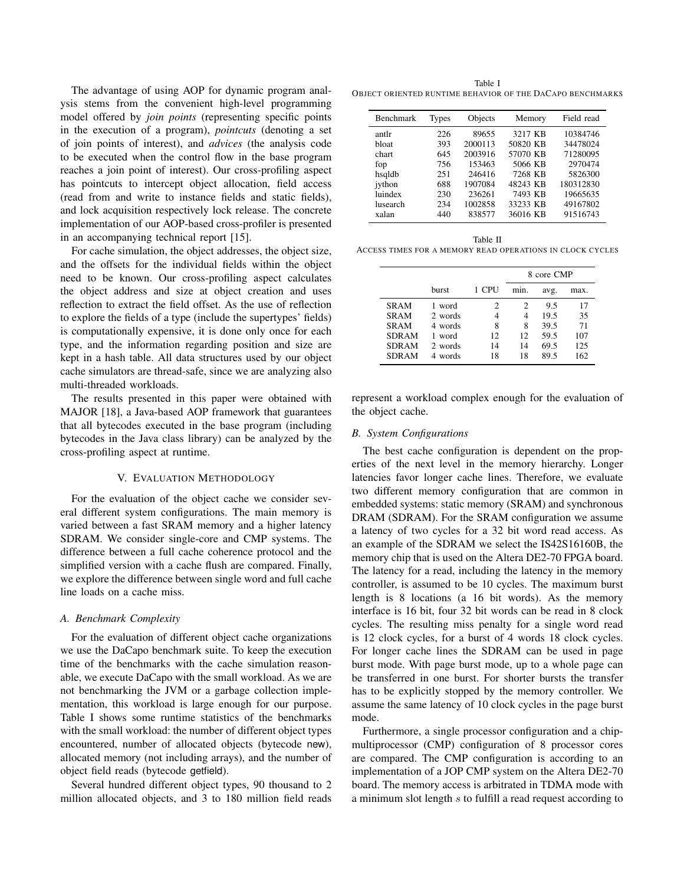The advantage of using AOP for dynamic program analysis stems from the convenient high-level programming model offered by *join points* (representing specific points in the execution of a program), *pointcuts* (denoting a set of join points of interest), and *advices* (the analysis code to be executed when the control flow in the base program reaches a join point of interest). Our cross-profiling aspect has pointcuts to intercept object allocation, field access (read from and write to instance fields and static fields), and lock acquisition respectively lock release. The concrete implementation of our AOP-based cross-profiler is presented in an accompanying technical report [15].

For cache simulation, the object addresses, the object size, and the offsets for the individual fields within the object need to be known. Our cross-profiling aspect calculates the object address and size at object creation and uses reflection to extract the field offset. As the use of reflection to explore the fields of a type (include the supertypes' fields) is computationally expensive, it is done only once for each type, and the information regarding position and size are kept in a hash table. All data structures used by our object cache simulators are thread-safe, since we are analyzing also multi-threaded workloads.

The results presented in this paper were obtained with MAJOR [18], a Java-based AOP framework that guarantees that all bytecodes executed in the base program (including bytecodes in the Java class library) can be analyzed by the cross-profiling aspect at runtime.

### V. EVALUATION METHODOLOGY

For the evaluation of the object cache we consider several different system configurations. The main memory is varied between a fast SRAM memory and a higher latency SDRAM. We consider single-core and CMP systems. The difference between a full cache coherence protocol and the simplified version with a cache flush are compared. Finally, we explore the difference between single word and full cache line loads on a cache miss.

#### *A. Benchmark Complexity*

For the evaluation of different object cache organizations we use the DaCapo benchmark suite. To keep the execution time of the benchmarks with the cache simulation reasonable, we execute DaCapo with the small workload. As we are not benchmarking the JVM or a garbage collection implementation, this workload is large enough for our purpose. Table I shows some runtime statistics of the benchmarks with the small workload: the number of different object types encountered, number of allocated objects (bytecode new), allocated memory (not including arrays), and the number of object field reads (bytecode getfield).

Several hundred different object types, 90 thousand to 2 million allocated objects, and 3 to 180 million field reads

Table I OBJECT ORIENTED RUNTIME BEHAVIOR OF THE DACAPO BENCHMARKS

| Benchmark | Types | Objects | Memory   | Field read |
|-----------|-------|---------|----------|------------|
| antlr     | 226   | 89655   | 3217 KB  | 10384746   |
| bloat     | 393   | 2000113 | 50820 KB | 34478024   |
| chart     | 645   | 2003916 | 57070 KB | 71280095   |
| fop       | 756   | 153463  | 5066 KB  | 2970474    |
| hsqldb    | 251   | 246416  | 7268 KB  | 5826300    |
| iython    | 688   | 1907084 | 48243 KB | 180312830  |
| luindex   | 230   | 236261  | 7493 KB  | 19665635   |
| lusearch  | 234   | 1002858 | 33233 KB | 49167802   |
| xalan     | 440   | 838577  | 36016 KB | 91516743   |

Table II ACCESS TIMES FOR A MEMORY READ OPERATIONS IN CLOCK CYCLES

|              |              |       | 8 core CMP |      |      |  |  |
|--------------|--------------|-------|------------|------|------|--|--|
|              | <b>burst</b> | 1 CPU | mın.       | avg. | max. |  |  |
| <b>SRAM</b>  | 1 word       | 2     | 2          | 9.5  | 17   |  |  |
| <b>SRAM</b>  | 2 words      | 4     | 4          | 19.5 | 35   |  |  |
| <b>SRAM</b>  | 4 words      | 8     | 8          | 39.5 | 71   |  |  |
| <b>SDRAM</b> | 1 word       | 12    | 12         | 59.5 | 107  |  |  |
| <b>SDRAM</b> | 2 words      | 14    | 14         | 69.5 | 125  |  |  |
| <b>SDRAM</b> | 4 words      | 18    | 18         | 89.5 | 162  |  |  |

represent a workload complex enough for the evaluation of the object cache.

#### *B. System Configurations*

The best cache configuration is dependent on the properties of the next level in the memory hierarchy. Longer latencies favor longer cache lines. Therefore, we evaluate two different memory configuration that are common in embedded systems: static memory (SRAM) and synchronous DRAM (SDRAM). For the SRAM configuration we assume a latency of two cycles for a 32 bit word read access. As an example of the SDRAM we select the IS42S16160B, the memory chip that is used on the Altera DE2-70 FPGA board. The latency for a read, including the latency in the memory controller, is assumed to be 10 cycles. The maximum burst length is 8 locations (a 16 bit words). As the memory interface is 16 bit, four 32 bit words can be read in 8 clock cycles. The resulting miss penalty for a single word read is 12 clock cycles, for a burst of 4 words 18 clock cycles. For longer cache lines the SDRAM can be used in page burst mode. With page burst mode, up to a whole page can be transferred in one burst. For shorter bursts the transfer has to be explicitly stopped by the memory controller. We assume the same latency of 10 clock cycles in the page burst mode.

Furthermore, a single processor configuration and a chipmultiprocessor (CMP) configuration of 8 processor cores are compared. The CMP configuration is according to an implementation of a JOP CMP system on the Altera DE2-70 board. The memory access is arbitrated in TDMA mode with a minimum slot length s to fulfill a read request according to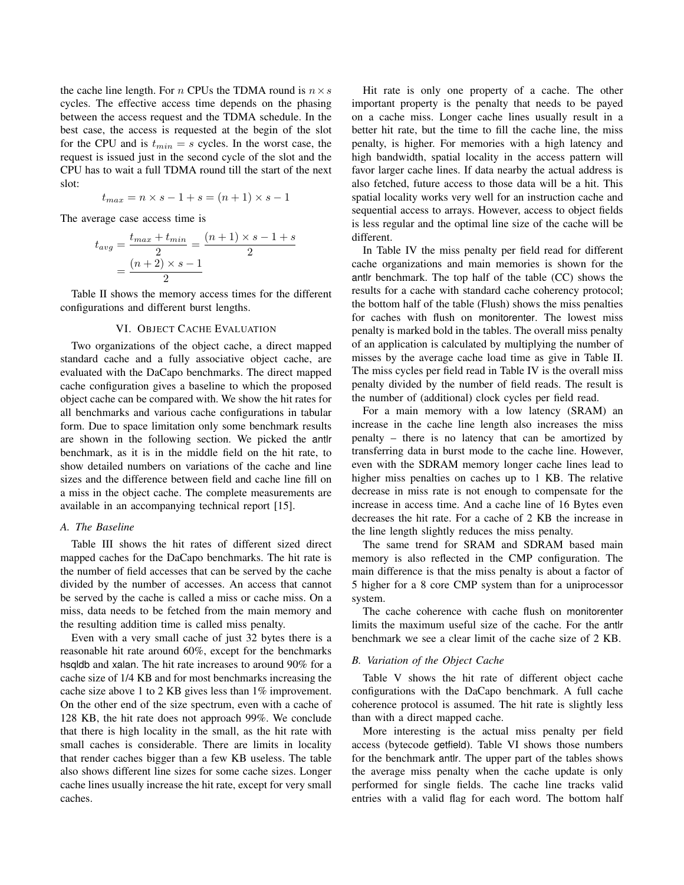the cache line length. For *n* CPUs the TDMA round is  $n \times s$ cycles. The effective access time depends on the phasing between the access request and the TDMA schedule. In the best case, the access is requested at the begin of the slot for the CPU and is  $t_{min} = s$  cycles. In the worst case, the request is issued just in the second cycle of the slot and the CPU has to wait a full TDMA round till the start of the next slot:

$$
t_{max} = n \times s - 1 + s = (n+1) \times s - 1
$$

The average case access time is

$$
t_{avg} = \frac{t_{max} + t_{min}}{2} = \frac{(n+1) \times s - 1 + s}{2}
$$

$$
= \frac{(n+2) \times s - 1}{2}
$$

Table II shows the memory access times for the different configurations and different burst lengths.

## VI. OBJECT CACHE EVALUATION

Two organizations of the object cache, a direct mapped standard cache and a fully associative object cache, are evaluated with the DaCapo benchmarks. The direct mapped cache configuration gives a baseline to which the proposed object cache can be compared with. We show the hit rates for all benchmarks and various cache configurations in tabular form. Due to space limitation only some benchmark results are shown in the following section. We picked the antlr benchmark, as it is in the middle field on the hit rate, to show detailed numbers on variations of the cache and line sizes and the difference between field and cache line fill on a miss in the object cache. The complete measurements are available in an accompanying technical report [15].

# *A. The Baseline*

Table III shows the hit rates of different sized direct mapped caches for the DaCapo benchmarks. The hit rate is the number of field accesses that can be served by the cache divided by the number of accesses. An access that cannot be served by the cache is called a miss or cache miss. On a miss, data needs to be fetched from the main memory and the resulting addition time is called miss penalty.

Even with a very small cache of just 32 bytes there is a reasonable hit rate around 60%, except for the benchmarks hsqldb and xalan. The hit rate increases to around 90% for a cache size of 1/4 KB and for most benchmarks increasing the cache size above 1 to 2 KB gives less than 1% improvement. On the other end of the size spectrum, even with a cache of 128 KB, the hit rate does not approach 99%. We conclude that there is high locality in the small, as the hit rate with small caches is considerable. There are limits in locality that render caches bigger than a few KB useless. The table also shows different line sizes for some cache sizes. Longer cache lines usually increase the hit rate, except for very small caches.

Hit rate is only one property of a cache. The other important property is the penalty that needs to be payed on a cache miss. Longer cache lines usually result in a better hit rate, but the time to fill the cache line, the miss penalty, is higher. For memories with a high latency and high bandwidth, spatial locality in the access pattern will favor larger cache lines. If data nearby the actual address is also fetched, future access to those data will be a hit. This spatial locality works very well for an instruction cache and sequential access to arrays. However, access to object fields is less regular and the optimal line size of the cache will be different.

In Table IV the miss penalty per field read for different cache organizations and main memories is shown for the antlr benchmark. The top half of the table (CC) shows the results for a cache with standard cache coherency protocol; the bottom half of the table (Flush) shows the miss penalties for caches with flush on monitorenter. The lowest miss penalty is marked bold in the tables. The overall miss penalty of an application is calculated by multiplying the number of misses by the average cache load time as give in Table II. The miss cycles per field read in Table IV is the overall miss penalty divided by the number of field reads. The result is the number of (additional) clock cycles per field read.

For a main memory with a low latency (SRAM) an increase in the cache line length also increases the miss penalty – there is no latency that can be amortized by transferring data in burst mode to the cache line. However, even with the SDRAM memory longer cache lines lead to higher miss penalties on caches up to 1 KB. The relative decrease in miss rate is not enough to compensate for the increase in access time. And a cache line of 16 Bytes even decreases the hit rate. For a cache of 2 KB the increase in the line length slightly reduces the miss penalty.

The same trend for SRAM and SDRAM based main memory is also reflected in the CMP configuration. The main difference is that the miss penalty is about a factor of 5 higher for a 8 core CMP system than for a uniprocessor system.

The cache coherence with cache flush on monitorenter limits the maximum useful size of the cache. For the antlr benchmark we see a clear limit of the cache size of 2 KB.

#### *B. Variation of the Object Cache*

Table V shows the hit rate of different object cache configurations with the DaCapo benchmark. A full cache coherence protocol is assumed. The hit rate is slightly less than with a direct mapped cache.

More interesting is the actual miss penalty per field access (bytecode getfield). Table VI shows those numbers for the benchmark antlr. The upper part of the tables shows the average miss penalty when the cache update is only performed for single fields. The cache line tracks valid entries with a valid flag for each word. The bottom half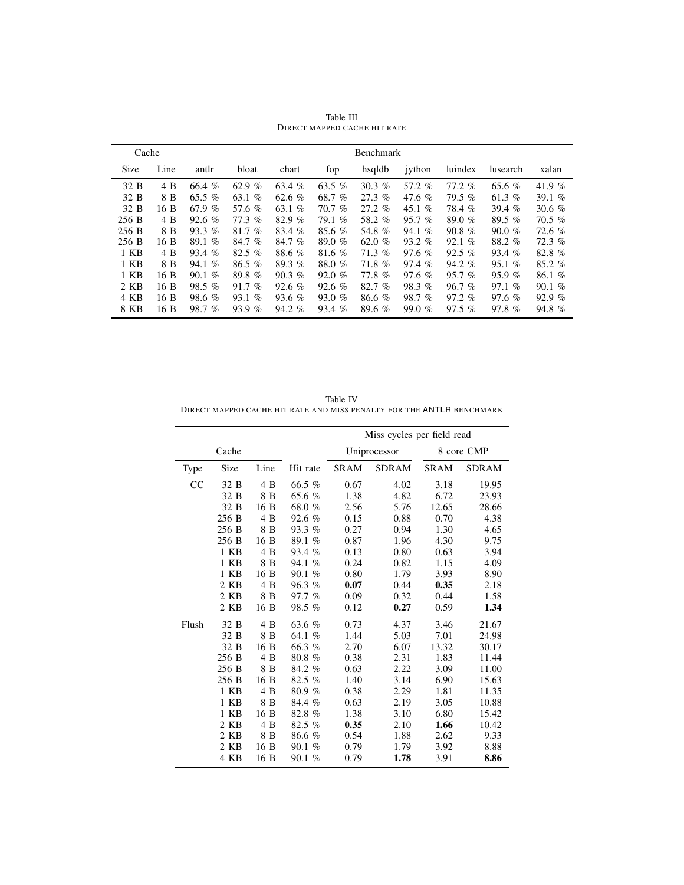| Cache  |      | <b>Benchmark</b> |          |          |          |          |           |          |          |          |
|--------|------|------------------|----------|----------|----------|----------|-----------|----------|----------|----------|
| Size   | Line | antlr            | bloat    | chart    | fop      | hsqldb   | jython    | luindex  | lusearch | xalan    |
| 32 B   | 4 B  | 66.4 $%$         | 62.9 %   | 63.4 %   | 63.5 $%$ | 30.3 $%$ | 57.2 $%$  | 77.2%    | 65.6 $%$ | 41.9 $%$ |
| 32 B   | 8 B  | 65.5 $%$         | 63.1 $%$ | 62.6 $%$ | 68.7 %   | 27.3%    | 47.6 $%$  | 79.5%    | 61.3 $%$ | 39.1 $%$ |
| 32 B   | 16 B | 67.9 $%$         | 57.6 %   | 63.1 $%$ | 70.7%    | 27.2%    | 45.1 $%$  | 78.4 %   | 39.4 $%$ | 30.6 $%$ |
| 256 B  | 4 B  | 92.6%            | 77.3%    | 82.9 $%$ | 79.1 %   | 58.2 %   | $95.7 \%$ | 89.0 $%$ | 89.5 $%$ | $70.5\%$ |
| 256 B  | 8 B  | 93.3 $%$         | 81.7%    | 83.4 %   | 85.6 $%$ | 54.8%    | 94.1 $%$  | 90.8%    | 90.0 $%$ | 72.6 %   |
| 256 B  | 16 B | 89.1 $%$         | 84.7%    | 84.7 $%$ | 89.0 $%$ | 62.0 %   | $93.2 \%$ | 92.1%    | 88.2%    | 72.3%    |
| $1$ KB | 4 B  | 93.4 $%$         | 82.5 $%$ | 88.6 %   | 81.6 %   | $71.3\%$ | 97.6%     | $92.5\%$ | 93.4 $%$ | 82.8%    |
| $1$ KB | 8 B  | 94.1 $%$         | 86.5%    | 89.3 $%$ | 88.0%    | $71.8\%$ | 97.4%     | 94.2%    | 95.1 $%$ | 85.2%    |
| $1$ KB | 16 B | 90.1 $%$         | 89.8 $%$ | $90.3\%$ | 92.0%    | 77.8%    | 97.6%     | 95.7%    | 95.9%    | 86.1 $%$ |
| 2 KB   | 16 B | 98.5 $%$         | 91.7%    | 92.6%    | 92.6%    | 82.7%    | 98.3 $%$  | 96.7%    | 97.1%    | 90.1 $%$ |
| 4 KB   | 16 B | 98.6 $%$         | 93.1 $%$ | 93.6 $%$ | 93.0 $%$ | 86.6 $%$ | $98.7 \%$ | $97.2\%$ | 97.6%    | 92.9%    |
| 8 KB   | 16 B | 98.7%            | 93.9 $%$ | 94.2%    | 93.4 $%$ | 89.6 $%$ | 99.0 %    | 97.5%    | 97.8%    | 94.8 $%$ |

Table III DIRECT MAPPED CACHE HIT RATE

Table IV DIRECT MAPPED CACHE HIT RATE AND MISS PENALTY FOR THE ANTLR BENCHMARK

|             |        |      |          | Miss cycles per field read |              |             |              |  |  |
|-------------|--------|------|----------|----------------------------|--------------|-------------|--------------|--|--|
|             | Cache  |      |          |                            | Uniprocessor |             | 8 core CMP   |  |  |
| <b>Type</b> | Size   | Line | Hit rate | <b>SRAM</b>                | <b>SDRAM</b> | <b>SRAM</b> | <b>SDRAM</b> |  |  |
| CC          | 32 B   | 4 B  | 66.5 %   | 0.67                       | 4.02         | 3.18        | 19.95        |  |  |
|             | 32 B   | 8 B  | 65.6 %   | 1.38                       | 4.82         | 6.72        | 23.93        |  |  |
|             | 32 B   | 16 B | 68.0%    | 2.56                       | 5.76         | 12.65       | 28.66        |  |  |
|             | 256 B  | 4 B  | 92.6%    | 0.15                       | 0.88         | 0.70        | 4.38         |  |  |
|             | 256 B  | 8 B  | 93.3 $%$ | 0.27                       | 0.94         | 1.30        | 4.65         |  |  |
|             | 256 B  | 16 B | 89.1 %   | 0.87                       | 1.96         | 4.30        | 9.75         |  |  |
|             | 1 KB   | 4 B  | 93.4 %   | 0.13                       | 0.80         | 0.63        | 3.94         |  |  |
|             | 1 KB   | 8 B  | 94.1 %   | 0.24                       | 0.82         | 1.15        | 4.09         |  |  |
|             | 1 KB   | 16 B | 90.1 $%$ | 0.80                       | 1.79         | 3.93        | 8.90         |  |  |
|             | $2$ KB | 4 B  | 96.3%    | 0.07                       | 0.44         | 0.35        | 2.18         |  |  |
|             | 2 KB   | 8 B  | 97.7%    | 0.09                       | 0.32         | 0.44        | 1.58         |  |  |
|             | $2$ KB | 16 B | $98.5\%$ | 0.12                       | 0.27         | 0.59        | 1.34         |  |  |
| Flush       | 32 B   | 4 B  | 63.6 %   | 0.73                       | 4.37         | 3.46        | 21.67        |  |  |
|             | 32 B   | 8 B  | 64.1 %   | 1.44                       | 5.03         | 7.01        | 24.98        |  |  |
|             | 32 B   | 16 B | 66.3%    | 2.70                       | 6.07         | 13.32       | 30.17        |  |  |
|             | 256 B  | 4 B  | $80.8\%$ | 0.38                       | 2.31         | 1.83        | 11.44        |  |  |
|             | 256 B  | 8 B  | 84.2 %   | 0.63                       | 2.22         | 3.09        | 11.00        |  |  |
|             | 256 B  | 16B  | 82.5 %   | 1.40                       | 3.14         | 6.90        | 15.63        |  |  |
|             | 1 KB   | 4 B  | 80.9%    | 0.38                       | 2.29         | 1.81        | 11.35        |  |  |
|             | 1 KB   | 8 B  | 84.4 %   | 0.63                       | 2.19         | 3.05        | 10.88        |  |  |
|             | 1 KB   | 16 B | $82.8\%$ | 1.38                       | 3.10         | 6.80        | 15.42        |  |  |
|             | 2 KB   | 4 B  | $82.5\%$ | 0.35                       | 2.10         | 1.66        | 10.42        |  |  |
|             | 2 KB   | 8 B  | 86.6%    | 0.54                       | 1.88         | 2.62        | 9.33         |  |  |
|             | $2$ KB | 16 B | 90.1 %   | 0.79                       | 1.79         | 3.92        | 8.88         |  |  |
|             | 4 KB   | 16 B | 90.1 %   | 0.79                       | 1.78         | 3.91        | 8.86         |  |  |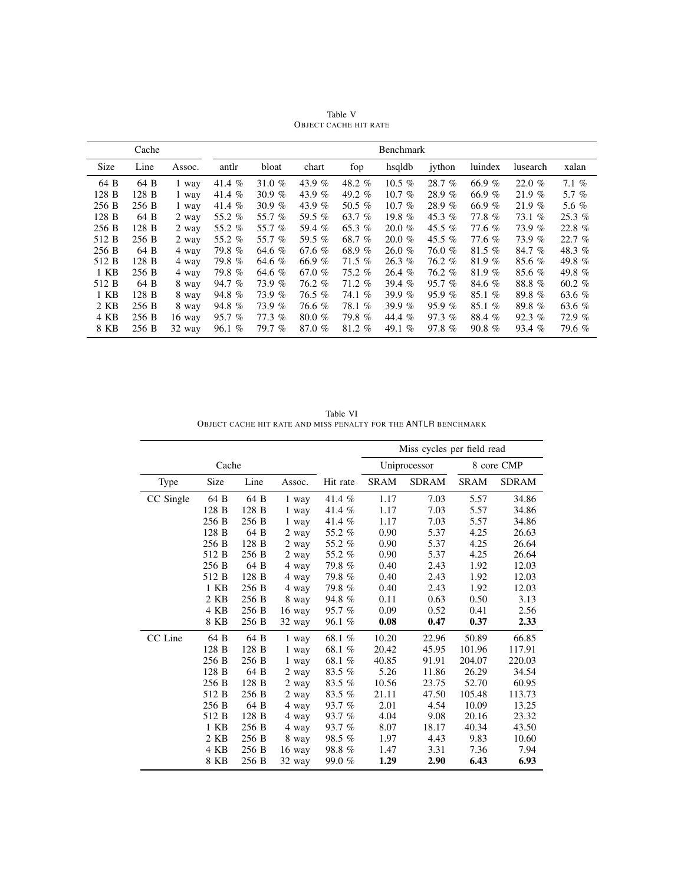|        | Cache |        | Benchmark |          |          |          |           |           |          |          |          |
|--------|-------|--------|-----------|----------|----------|----------|-----------|-----------|----------|----------|----------|
| Size   | Line  | Assoc. | antlr     | bloat    | chart    | fop      | hsqldb    | jython    | luindex  | lusearch | xalan    |
| 64 B   | 64 B  | 1 way  | 41.4 $%$  | 31.0 $%$ | 43.9 $%$ | 48.2 %   | 10.5 $%$  | 28.7%     | 66.9 $%$ | 22.0%    | $7.1\%$  |
| 128 B  | 128 B | l way  | 41.4 $%$  | 30.9 $%$ | 43.9 $%$ | 49.2 $%$ | $10.7 \%$ | 28.9%     | 66.9 $%$ | 21.9%    | 5.7 $%$  |
| 256 B  | 256 B | 1 way  | 41.4 $%$  | 30.9 $%$ | 43.9 $%$ | 50.5 $%$ | $10.7 \%$ | 28.9%     | 66.9 $%$ | 21.9%    | 5.6 %    |
| 128 B  | 64 B  | 2 way  | 55.2%     | 55.7 %   | 59.5 $%$ | 63.7 %   | 19.8 $%$  | 45.3 $%$  | 77.8%    | 73.1%    | 25.3%    |
| 256 B  | 128 B | 2 way  | 55.2%     | 55.7 %   | 59.4 %   | 65.3 $%$ | $20.0 \%$ | 45.5 $%$  | $77.6\%$ | 73.9%    | 22.8 %   |
| 512 B  | 256 B | 2 way  | 55.2%     | 55.7 %   | 59.5 $%$ | 68.7 %   | $20.0 \%$ | 45.5 $%$  | 77.6 %   | 73.9 %   | 22.7%    |
| 256 B  | 64 B  | 4 way  | 79.8%     | 64.6 %   | 67.6 $%$ | 68.9%    | $26.0 \%$ | 76.0 $%$  | $81.5\%$ | 84.7%    | 48.3 $%$ |
| 512 B  | 128 B | 4 way  | 79.8%     | 64.6 %   | 66.9 %   | $71.5\%$ | 26.3%     | $76.2 \%$ | 81.9 $%$ | 85.6 %   | 49.8 %   |
| $1$ KB | 256 B | 4 way  | 79.8%     | 64.6 %   | 67.0 %   | 75.2%    | 26.4%     | 76.2%     | 81.9 $%$ | 85.6 $%$ | 49.8%    |
| 512 B  | 64 B  | 8 way  | 94.7%     | 73.9%    | 76.2%    | 71.2%    | 39.4 $%$  | 95.7%     | 84.6 $%$ | 88.8%    | 60.2 $%$ |
| $1$ KB | 128 B | 8 way  | 94.8%     | 73.9%    | $76.5\%$ | 74.1 $%$ | 39.9 $%$  | 95.9%     | 85.1 $%$ | 89.8 $%$ | 63.6 %   |
| 2 KB   | 256 B | 8 way  | 94.8%     | 73.9%    | 76.6%    | 78.1 %   | 39.9 $%$  | 95.9%     | 85.1 $%$ | 89.8 $%$ | 63.6 %   |
| 4 KB   | 256 B | 16 way | 95.7%     | 77.3%    | 80.0 %   | 79.8%    | 44.4 %    | 97.3%     | 88.4 %   | 92.3%    | 72.9%    |
| 8 KB   | 256 B | 32 way | 96.1%     | 79.7%    | 87.0 $%$ | 81.2%    | 49.1 $%$  | 97.8%     | 90.8 $%$ | 93.4 $%$ | 79.6 %   |

Table V OBJECT CACHE HIT RATE

Table VI OBJECT CACHE HIT RATE AND MISS PENALTY FOR THE ANTLR BENCHMARK

|           |        |       |        |           |              | Miss cycles per field read |             |              |
|-----------|--------|-------|--------|-----------|--------------|----------------------------|-------------|--------------|
|           | Cache  |       |        |           | Uniprocessor |                            |             | 8 core CMP   |
| Type      | Size   | Line  | Assoc. | Hit rate  | <b>SRAM</b>  | <b>SDRAM</b>               | <b>SRAM</b> | <b>SDRAM</b> |
| CC Single | 64 B   | 64 B  | 1 way  | 41.4 %    | 1.17         | 7.03                       | 5.57        | 34.86        |
|           | 128 B  | 128 B | 1 way  | 41.4 $%$  | 1.17         | 7.03                       | 5.57        | 34.86        |
|           | 256 B  | 256 B | 1 way  | 41.4 %    | 1.17         | 7.03                       | 5.57        | 34.86        |
|           | 128 B  | 64 B  | 2 way  | 55.2 %    | 0.90         | 5.37                       | 4.25        | 26.63        |
|           | 256 B  | 128 B | 2 way  | 55.2 %    | 0.90         | 5.37                       | 4.25        | 26.64        |
|           | 512 B  | 256 B | 2 way  | 55.2 %    | 0.90         | 5.37                       | 4.25        | 26.64        |
|           | 256 B  | 64 B  | 4 way  | 79.8%     | 0.40         | 2.43                       | 1.92        | 12.03        |
|           | 512 B  | 128 B | 4 way  | 79.8%     | 0.40         | 2.43                       | 1.92        | 12.03        |
|           | $1$ KB | 256 B | 4 way  | 79.8%     | 0.40         | 2.43                       | 1.92        | 12.03        |
|           | $2$ KB | 256 B | 8 way  | 94.8 %    | 0.11         | 0.63                       | 0.50        | 3.13         |
|           | 4 KB   | 256 B | 16 way | 95.7%     | 0.09         | 0.52                       | 0.41        | 2.56         |
|           | 8 KB   | 256 B | 32 way | 96.1 %    | 0.08         | 0.47                       | 0.37        | 2.33         |
| CC Line   | 64 B   | 64 B  | 1 way  | 68.1 %    | 10.20        | 22.96                      | 50.89       | 66.85        |
|           | 128 B  | 128 B | 1 way  | 68.1 %    | 20.42        | 45.95                      | 101.96      | 117.91       |
|           | 256 B  | 256 B | 1 way  | 68.1 %    | 40.85        | 91.91                      | 204.07      | 220.03       |
|           | 128 B  | 64 B  | 2 way  | 83.5 $%$  | 5.26         | 11.86                      | 26.29       | 34.54        |
|           | 256 B  | 128 B | 2 way  | 83.5 $%$  | 10.56        | 23.75                      | 52.70       | 60.95        |
|           | 512 B  | 256 B | 2 way  | 83.5 $%$  | 21.11        | 47.50                      | 105.48      | 113.73       |
|           | 256 B  | 64 B  | 4 way  | $93.7 \%$ | 2.01         | 4.54                       | 10.09       | 13.25        |
|           | 512 B  | 128 B | 4 way  | 93.7%     | 4.04         | 9.08                       | 20.16       | 23.32        |
|           | $1$ KB | 256 B | 4 way  | $93.7 \%$ | 8.07         | 18.17                      | 40.34       | 43.50        |
|           | 2 KB   | 256 B | 8 way  | 98.5 $%$  | 1.97         | 4.43                       | 9.83        | 10.60        |
|           | 4 KB   | 256 B | 16 way | 98.8%     | 1.47         | 3.31                       | 7.36        | 7.94         |
|           | 8 KB   | 256 B | 32 way | 99.0%     | 1.29         | 2.90                       | 6.43        | 6.93         |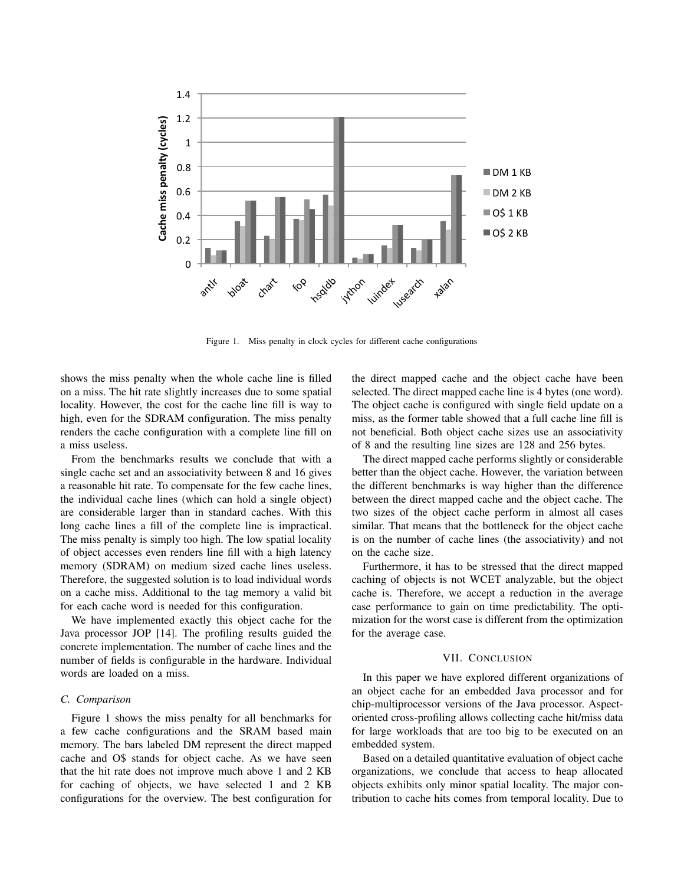

Figure 1. Miss penalty in clock cycles for different cache configurations

shows the miss penalty when the whole cache line is filled on a miss. The hit rate slightly increases due to some spatial locality. However, the cost for the cache line fill is way to high, even for the SDRAM configuration. The miss penalty renders the cache configuration with a complete line fill on a miss useless.

From the benchmarks results we conclude that with a single cache set and an associativity between 8 and 16 gives a reasonable hit rate. To compensate for the few cache lines, the individual cache lines (which can hold a single object) are considerable larger than in standard caches. With this long cache lines a fill of the complete line is impractical. The miss penalty is simply too high. The low spatial locality of object accesses even renders line fill with a high latency memory (SDRAM) on medium sized cache lines useless. Therefore, the suggested solution is to load individual words on a cache miss. Additional to the tag memory a valid bit for each cache word is needed for this configuration.

We have implemented exactly this object cache for the Java processor JOP [14]. The profiling results guided the concrete implementation. The number of cache lines and the number of fields is configurable in the hardware. Individual words are loaded on a miss.

# *C. Comparison*

Figure 1 shows the miss penalty for all benchmarks for a few cache configurations and the SRAM based main memory. The bars labeled DM represent the direct mapped cache and O\$ stands for object cache. As we have seen that the hit rate does not improve much above 1 and 2 KB for caching of objects, we have selected 1 and 2 KB configurations for the overview. The best configuration for the direct mapped cache and the object cache have been selected. The direct mapped cache line is 4 bytes (one word). The object cache is configured with single field update on a miss, as the former table showed that a full cache line fill is not beneficial. Both object cache sizes use an associativity of 8 and the resulting line sizes are 128 and 256 bytes.

The direct mapped cache performs slightly or considerable better than the object cache. However, the variation between the different benchmarks is way higher than the difference between the direct mapped cache and the object cache. The two sizes of the object cache perform in almost all cases similar. That means that the bottleneck for the object cache is on the number of cache lines (the associativity) and not on the cache size.

Furthermore, it has to be stressed that the direct mapped caching of objects is not WCET analyzable, but the object cache is. Therefore, we accept a reduction in the average case performance to gain on time predictability. The optimization for the worst case is different from the optimization for the average case.

### VII. CONCLUSION

In this paper we have explored different organizations of an object cache for an embedded Java processor and for chip-multiprocessor versions of the Java processor. Aspectoriented cross-profiling allows collecting cache hit/miss data for large workloads that are too big to be executed on an embedded system.

Based on a detailed quantitative evaluation of object cache organizations, we conclude that access to heap allocated objects exhibits only minor spatial locality. The major contribution to cache hits comes from temporal locality. Due to